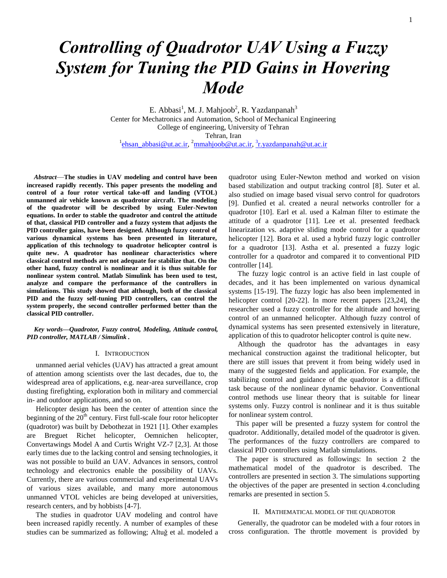# *Controlling of Quadrotor UAV Using a Fuzzy System for Tuning the PID Gains in Hovering Mode*

E. Abbasi<sup>1</sup>, M. J. Mahjoob<sup>2</sup>, R. Yazdanpanah<sup>3</sup> Center for Mechatronics and Automation, School of Mechanical Engineering College of engineering, University of Tehran Tehran, Iran

<sup>1</sup> ehsan\_abbasi@ut.ac.ir, <sup>2</sup>mmahjoob@ut.ac.ir, <sup>3</sup>[r.yazdanpanah@ut.ac.ir](mailto:3r.yazdanpanah@ut.ac.ir)

*Abstract*—**The studies in UAV modeling and control have been increased rapidly recently. This paper presents the modeling and control of a four rotor vertical take-off and landing (VTOL) unmanned air vehicle known as quadrotor aircraft. The modeling of the quadrotor will be described by using Euler-Newton equations. In order to stable the quadrotor and control the attitude of that, classical PID controller and a fuzzy system that adjusts the PID controller gains, have been designed. Although fuzzy control of various dynamical systems has been presented in literature, application of this technology to quadrotor helicopter control is quite new. A quadrotor has nonlinear characteristics where classical control methods are not adequate for stabilize that. On the other hand, fuzzy control is nonlinear and it is thus suitable for nonlinear system control. Matlab Simulink has been used to test, analyze and compare the performance of the controllers in simulations. This study showed that although, both of the classical PID and the fuzzy self-tuning PID controllers, can control the system properly, the second controller performed better than the classical PID controller.** 

*Key words***—***Quadrotor, Fuzzy control, Modeling, Attitude control, PID controller, MATLAB / Simulink .* 

## I. INTRODUCTION

 unmanned aerial vehicles (UAV) has attracted a great amount of attention among scientists over the last decades, due to, the widespread area of applications, e.g. near-area surveillance, crop dusting firefighting, exploration both in military and commercial in- and outdoor applications, and so on.

 Helicopter design has been the center of attention since the beginning of the  $20<sup>th</sup>$  century. First full-scale four rotor helicopter (quadrotor) was built by Debothezat in 1921 [1]. Other examples are Breguet Richet helicopter, Oemnichen helicopter, Convertawings Model A and Curtis Wright VZ-7 [2,3]. At those early times due to the lacking control and sensing technologies, it was not possible to build an UAV. Advances in sensors, control technology and electronics enable the possibility of UAVs. Currently, there are various commercial and experimental UAVs of various sizes available, and many more autonomous unmanned VTOL vehicles are being developed at universities, research centers, and by hobbists [4-7].

 The studies in quadrotor UAV modeling and control have been increased rapidly recently. A number of examples of these studies can be summarized as following; Altuğ et al. modeled a quadrotor using Euler-Newton method and worked on vision based stabilization and output tracking control [8]. Suter et al. also studied on image based visual servo control for quadrotors [9]. Dunfied et al. created a neural networks controller for a quadrotor [10]. Earl et al. used a Kalman filter to estimate the attitude of a quadrotor [11]. Lee et al. presented feedback linearization vs. adaptive sliding mode control for a quadrotor helicopter [12]. Bora et al. used a hybrid fuzzy logic controller for a quadrotor [13]. Astha et al. presented a fuzzy logic controller for a quadrotor and compared it to conventional PID controller [14].

 The fuzzy logic control is an active field in last couple of decades, and it has been implemented on various dynamical systems [15-19]. The fuzzy logic has also been implemented in helicopter control [20-22]. In more recent papers [23,24], the researcher used a fuzzy controller for the altitude and hovering control of an unmanned helicopter. Although fuzzy control of dynamical systems has seen presented extensively in literature, application of this to quadrotor helicopter control is quite new.

 Although the quadrotor has the advantages in easy mechanical construction against the traditional helicopter, but there are still issues that prevent it from being widely used in many of the suggested fields and application. For example, the stabilizing control and guidance of the quadrotor is a difficult task because of the nonlinear dynamic behavior. Conventional control methods use linear theory that is suitable for linear systems only. Fuzzy control is nonlinear and it is thus suitable for nonlinear system control.

 This paper will be presented a fuzzy system for control the quadrotor. Additionally, detailed model of the quadrotor is given. The performances of the fuzzy controllers are compared to classical PID controllers using Matlab simulations.

 The paper is structured as followings: In section 2 the mathematical model of the quadrotor is described. The controllers are presented in section 3. The simulations supporting the objectives of the paper are presented in section 4.concluding remarks are presented in section 5.

## II. MATHEMATICAL MODEL OF THE QUADROTOR

 Generally, the quadrotor can be modeled with a four rotors in cross configuration. The throttle movement is provided by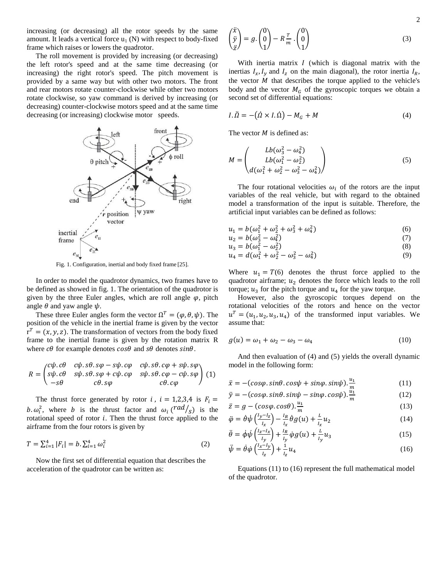increasing (or decreasing) all the rotor speeds by the same amount. It leads a vertical force  $u_1$  (N) with respect to body-fixed frame which raises or lowers the quadrotor.

 The roll movement is provided by increasing (or decreasing) the left rotor's speed and at the same time decreasing (or increasing) the right rotor's speed. The pitch movement is provided by a same way but with other two motors. The front and rear motors rotate counter-clockwise while other two motors rotate clockwise, so yaw command is derived by increasing (or decreasing) counter-clockwise motors speed and at the same time decreasing (or increasing) clockwise motor speeds.



Fig. 1. Configuration, inertial and body fixed frame [25].

 In order to model the quadrotor dynamics, two frames have to be defined as showed in fig. 1. The orientation of the quadrotor is given by the three Euler angles, which are roll angle  $\varphi$ , pitch angle  $\theta$  and yaw angle  $\psi$ .

These three Euler angles form the vector  $\Omega^T = (\varphi, \theta, \psi)$ . The position of the vehicle in the inertial frame is given by the vector  $r^T = (x, y, z)$ . The transformation of vectors from the body fixed frame to the inertial frame is given by the rotation matrix R where  $c\theta$  for example denotes  $cos\theta$  and  $s\theta$  denotes  $sin\theta$ .

$$
R = \begin{pmatrix} c\psi.c\theta & c\psi.s\theta.s\varphi - s\psi.c\varphi & c\psi.s\theta.c\varphi + s\psi.s\varphi \\ s\psi.c\theta & s\psi.s\theta.s\varphi + c\psi.c\varphi & s\psi.s\theta.c\varphi - c\psi.s\varphi \\ -s\theta & c\theta.s\varphi & c\theta.c\varphi \end{pmatrix} (1)
$$

The thrust force generated by rotor *i*,  $i = 1,2,3,4$  is  $F_i =$ b.  $\omega_i^2$ , where b is the thrust factor and  $\omega_i$  ( $\frac{rad}{s}$ ) is the rotational speed of rotor  $i$ . Then the thrust force applied to the airframe from the four rotors is given by

$$
T = \sum_{i=1}^{4} |F_i| = b \cdot \sum_{i=1}^{4} \omega_i^2 \tag{2}
$$

 Now the first set of differential equation that describes the acceleration of the quadrotor can be written as:

$$
\begin{pmatrix} \ddot{x} \\ \ddot{y} \\ \ddot{z} \end{pmatrix} = g \cdot \begin{pmatrix} 0 \\ 0 \\ 1 \end{pmatrix} - R \frac{r}{m} \cdot \begin{pmatrix} 0 \\ 0 \\ 1 \end{pmatrix}
$$
 (3)

With inertia matrix  $I$  (which is diagonal matrix with the inertias  $I_x$ ,  $I_y$  and  $I_z$  on the main diagonal), the rotor inertia  $I_R$ , the vector  $\dot{M}$  that describes the torque applied to the vehicle's body and the vector  $M_G$  of the gyroscopic torques we obtain a second set of differential equations:

$$
I. \ddot{\Omega} = -(\dot{\Omega} \times I. \dot{\Omega}) - M_G + M \tag{4}
$$

The vector  $M$  is defined as:

$$
M = \begin{pmatrix} Lb(\omega_3^2 - \omega_4^2) \\ Lb(\omega_1^2 - \omega_2^2) \\ d(\omega_1^2 + \omega_2^2 - \omega_3^2 - \omega_4^2) \end{pmatrix}
$$
 (5)

The four rotational velocities  $\omega_i$  of the rotors are the input variables of the real vehicle, but with regard to the obtained model a transformation of the input is suitable. Therefore, the artificial input variables can be defined as follows:

$$
u_1 = b(\omega_1^2 + \omega_2^2 + \omega_3^2 + \omega_4^2) \tag{6}
$$

$$
u_2 = b(\omega_3^2 - \omega_4^2) \tag{7}
$$
  

$$
u_3 = b(\omega_1^2 - \omega_2^2) \tag{8}
$$

$$
u_3 = \lambda (\omega_1^2 + \omega_2^2 - \omega_3^2 - \omega_4^2) \tag{9}
$$

Where  $u_1 = T(6)$  denotes the thrust force applied to the quadrotor airframe;  $u_2$  denotes the force which leads to the roll torque;  $u_3$  for the pitch torque and  $u_4$  for the yaw torque.

 However, also the gyroscopic torques depend on the rotational velocities of the rotors and hence on the vector  $u^T = (u_1, u_2, u_3, u_4)$  of the transformed input variables. We assume that:

$$
g(u) = \omega_1 + \omega_2 - \omega_3 - \omega_4 \tag{10}
$$

 And then evaluation of (4) and (5) yields the overall dynamic model in the following form:

$$
\ddot{x} = -(cos\varphi, sin\theta, cos\psi + sin\varphi, sin\psi). \frac{u_1}{m}
$$
 (11)

$$
\ddot{y} = -(cos\varphi, sin\theta, sin\psi - sin\varphi, cos\psi).\frac{\ddot{u}_1}{m}
$$
(12)

$$
\ddot{z} = g - (cos\varphi, cos\theta). \frac{u_1}{m}
$$
 (13)

$$
\ddot{\varphi} = \dot{\theta}\dot{\psi}\left(\frac{l_{y}-l_{z}}{l_{x}}\right) - \frac{l_{R}}{l_{x}}\dot{\theta}g(u) + \frac{l}{l_{x}}u_{2}
$$
\n(14)

$$
\ddot{\theta} = \dot{\phi}\dot{\psi}\left(\frac{l_z - l_x}{l_y}\right) + \frac{l_R}{l_y}\dot{\phi}g(u) + \frac{L}{l_y}u_3\tag{15}
$$

$$
\ddot{\psi} = \dot{\theta}\dot{\phi}\left(\frac{l_x - l_y}{l_z}\right) + \frac{1}{l_z}u_4\tag{16}
$$

 Equations (11) to (16) represent the full mathematical model of the quadrotor.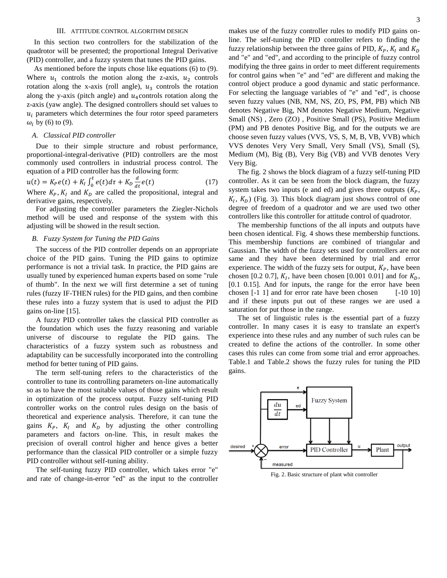#### III. ATTITUDE CONTROL ALGORITHM DESIGN

In this section two controllers for the stabilization of the quadrotor will be presented; the proportional Integral Derivative (PID) controller, and a fuzzy system that tunes the PID gains.

As mentioned before the inputs chose like equations (6) to (9). Where  $u_1$  controls the motion along the z-axis,  $u_2$  controls rotation along the x-axis (roll angle),  $u_3$  controls the rotation along the y-axis (pitch angle) and  $u_4$  controls rotation along the z-axis (yaw angle). The designed controllers should set values to  $u_i$  parameters which determines the four rotor speed parameters  $\omega_i$  by (6) to (9).

## *A. Classical PID controller*

 Due to their simple structure and robust performance, proportional-integral-derivative (PID) controllers are the most commonly used controllers in industrial process control. The equation of a PID controller has the following form:

$$
u(t) = K_P e(t) + K_I \int_0^t e(t) dt + K_D \frac{d}{dt} e(t)
$$
 (17)

Where  $K_P$ ,  $K_I$  and  $K_D$  are called the propositional, integral and derivative gains, respectively.

 For adjusting the controller parameters the Ziegler-Nichols method will be used and response of the system with this adjusting will be showed in the result section.

#### *B. Fuzzy System for Tuning the PID Gains*

 The success of the PID controller depends on an appropriate choice of the PID gains. Tuning the PID gains to optimize performance is not a trivial task. In practice, the PID gains are usually tuned by experienced human experts based on some "rule of thumb". In the next we will first determine a set of tuning rules (fuzzy IF-THEN rules) for the PID gains, and then combine these rules into a fuzzy system that is used to adjust the PID gains on-line [15].

 A fuzzy PID controller takes the classical PID controller as the foundation which uses the fuzzy reasoning and variable universe of discourse to regulate the PID gains. The characteristics of a fuzzy system such as robustness and adaptability can be successfully incorporated into the controlling method for better tuning of PID gains.

 The term self-tuning refers to the characteristics of the controller to tune its controlling parameters on-line automatically so as to have the most suitable values of those gains which result in optimization of the process output. Fuzzy self-tuning PID controller works on the control rules design on the basis of theoretical and experience analysis. Therefore, it can tune the gains  $K_p$ ,  $K_l$  and  $K_p$  by adjusting the other controlling parameters and factors on-line. This, in result makes the precision of overall control higher and hence gives a better performance than the classical PID controller or a simple fuzzy PID controller without self-tuning ability.

 The self-tuning fuzzy PID controller, which takes error "e" and rate of change-in-error "ed" as the input to the controller makes use of the fuzzy controller rules to modify PID gains online. The self-tuning the PID controller refers to finding the fuzzy relationship between the three gains of PID,  $K_P$ ,  $K_I$  and  $K_D$ and "e" and "ed", and according to the principle of fuzzy control modifying the three gains in order to meet different requirements for control gains when "e" and "ed" are different and making the control object produce a good dynamic and static performance. For selecting the language variables of "e" and "ed", is choose seven fuzzy values (NB, NM, NS, ZO, PS, PM, PB) which NB denotes Negative Big, NM denotes Negative Medium, Negative Small (NS) , Zero (ZO) , Positive Small (PS), Positive Medium (PM) and PB denotes Positive Big, and for the outputs we are choose seven fuzzy values (VVS, VS, S, M, B, VB, VVB) which VVS denotes Very Very Small, Very Small (VS), Small (S), Medium (M), Big (B), Very Big (VB) and VVB denotes Very Very Big.

 The fig. 2 shows the block diagram of a fuzzy self-tuning PID controller. As it can be seen from the block diagram, the fuzzy system takes two inputs (e and ed) and gives three outputs  $(K_P,$  $(K_I, K_D)$  (Fig. 3). This block diagram just shows control of one degree of freedom of a quadrotor and we are used two other controllers like this controller for attitude control of quadrotor.

 The membership functions of the all inputs and outputs have been chosen identical. Fig. 4 shows these membership functions. This membership functions are combined of triangular and Gaussian. The width of the fuzzy sets used for controllers are not same and they have been determined by trial and error experience. The width of the fuzzy sets for output,  $K_p$ , have been chosen [0.2 0.7],  $K_I$ , have been chosen [0.001 0.01] and for  $K_D$ , [0.1 0.15]. And for inputs, the range for the error have been chosen [-1 1] and for error rate have been chosen [-10 10] and if these inputs put out of these ranges we are used a saturation for put those in the range.

 The set of linguistic rules is the essential part of a fuzzy controller. In many cases it is easy to translate an expert's experience into these rules and any number of such rules can be created to define the actions of the controller. In some other cases this rules can come from some trial and error approaches. Table.1 and Table.2 shows the fuzzy rules for tuning the PID gains.



Fig. 2. Basic structure of plant whit controller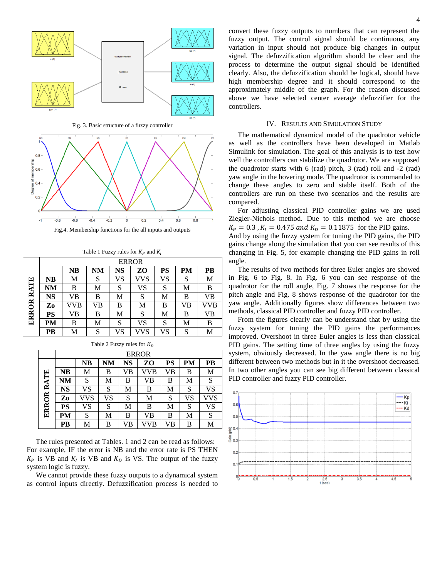

Table 1 Fuzzy rules for  $K_p$  and  $K_l$ 

|                            | <b>ERROR</b> |     |           |    |            |    |           |     |
|----------------------------|--------------|-----|-----------|----|------------|----|-----------|-----|
| RATE<br>$\tilde{e}$<br>ERR |              | NB  | <b>NM</b> | NS | ZΟ         | PS | <b>PM</b> | PB  |
|                            | NB           | М   | S         | VS | <b>VVS</b> | VS | S         | M   |
|                            | NM           | B   | М         | S  | VS         | S  | М         | B   |
|                            | <b>NS</b>    | VВ  | B         | М  | S          | М  | B         | VB  |
|                            | Zo           | VVB | VВ        | B  | М          | B  | VB        | VVB |
|                            | PS           | VВ  | B         | М  | S          | М  | B         | VВ  |
|                            | PM           | B   | М         | S  | VS         | S  | M         | B   |
|                            | PB           | М   | S         | VS | vvs        | VS | S         | М   |

Table 2 Fuzzy rules for  $K_D$ 

|                      | <b>ERROR</b> |     |    |    |     |    |    |     |
|----------------------|--------------|-----|----|----|-----|----|----|-----|
| <b>RATE</b><br>ERROR |              | NB  | NM | NS | ZΟ  | PS | PM | PВ  |
|                      | NB           | М   | B  | VB | VVB | VВ | B  | М   |
|                      | NM           | S   | М  | B  | VВ  | B  | М  | S   |
|                      | NS           | VS  | S  | М  | B   | М  | S  | VS  |
|                      | Zo           | vvs | VS | S  | М   | S  | VS | vvs |
|                      | PS           | VS  | S  | М  | B   | М  | S  | VS  |
|                      | PM           | S   | М  | B  | VB  | B  | М  | S   |
|                      | PB           | М   | B  | VB | VVB | VB | B  | М   |

 The rules presented at Tables. 1 and 2 can be read as follows: For example, IF the error is NB and the error rate is PS THEN  $K_p$  is VB and  $K_l$  is VB and  $K_p$  is VS. The output of the fuzzy system logic is fuzzy.

 We cannot provide these fuzzy outputs to a dynamical system as control inputs directly. Defuzzification process is needed to convert these fuzzy outputs to numbers that can represent the fuzzy output. The control signal should be continuous, any variation in input should not produce big changes in output signal. The defuzzification algorithm should be clear and the process to determine the output signal should be identified clearly. Also, the defuzzification should be logical, should have high membership degree and it should correspond to the approximately middle of the graph. For the reason discussed above we have selected center average defuzzifier for the controllers.

## IV. RESULTS AND SIMULATION STUDY

 The mathematical dynamical model of the quadrotor vehicle as well as the controllers have been developed in Matlab Simulink for simulation. The goal of this analysis is to test how well the controllers can stabilize the quadrotor. We are supposed the quadrotor starts with 6 (rad) pitch, 3 (rad) roll and -2 (rad) yaw angle in the hovering mode. The quadrotor is commanded to change these angles to zero and stable itself. Both of the controllers are run on these two scenarios and the results are compared.

 For adjusting classical PID controller gains we are used Ziegler-Nichols method. Due to this method we are choose  $K_p = 0.3$ ,  $K_l = 0.475$  and  $K_p = 0.11875$  for the PID gains. And by using the fuzzy system for tuning the PID gains, the PID gains change along the simulation that you can see results of this changing in Fig. 5, for example changing the PID gains in roll angle.

 The results of two methods for three Euler angles are showed in Fig. 6 to Fig. 8. In Fig. 6 you can see response of the quadrotor for the roll angle, Fig. 7 shows the response for the pitch angle and Fig. 8 shows response of the quadrotor for the yaw angle. Additionally figures show differences between two methods, classical PID controller and fuzzy PID controller.

 From the figures clearly can be understand that by using the fuzzy system for tuning the PID gains the performances improved. Overshoot in three Euler angles is less than classical PID gains. The setting time of three angles by using the fuzzy system, obviously decreased. In the yaw angle there is no big different between two methods but in it the overshoot decreased. In two other angles you can see big different between classical PID controller and fuzzy PID controller.

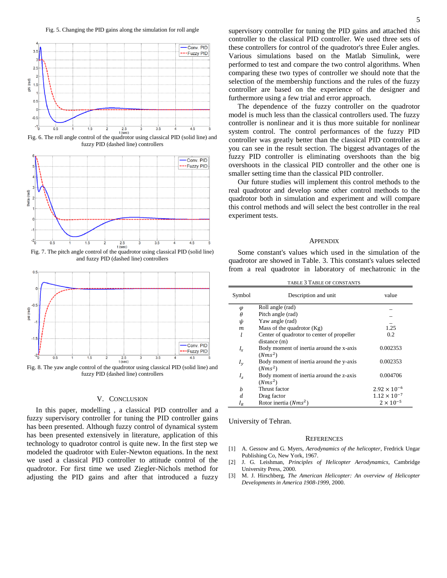

fuzzy PID (dashed line) controllers



and fuzzy PID (dashed line) controllers



Fig. 8. The yaw angle control of the quadrotor using classical PID (solid line) and fuzzy PID (dashed line) controllers

## V. CONCLUSION

 In this paper, modelling , a classical PID controller and a fuzzy supervisory controller for tuning the PID controller gains has been presented. Although fuzzy control of dynamical system has been presented extensively in literature, application of this technology to quadrotor control is quite new. In the first step we modeled the quadrotor with Euler-Newton equations. In the next we used a classical PID controller to attitude control of the quadrotor. For first time we used Ziegler-Nichols method for adjusting the PID gains and after that introduced a fuzzy

supervisory controller for tuning the PID gains and attached this controller to the classical PID controller. We used three sets of these controllers for control of the quadrotor's three Euler angles. Various simulations based on the Matlab Simulink, were performed to test and compare the two control algorithms. When comparing these two types of controller we should note that the selection of the membership functions and the rules of the fuzzy controller are based on the experience of the designer and furthermore using a few trial and error approach.

 The dependence of the fuzzy controller on the quadrotor model is much less than the classical controllers used. The fuzzy controller is nonlinear and it is thus more suitable for nonlinear system control. The control performances of the fuzzy PID controller was greatly better than the classical PID controller as you can see in the result section. The biggest advantages of the fuzzy PID controller is eliminating overshoots than the big overshoots in the classical PID controller and the other one is smaller setting time than the classical PID controller.

 Our future studies will implement this control methods to the real quadrotor and develop some other control methods to the quadrotor both in simulation and experiment and will compare this control methods and will select the best controller in the real experiment tests.

#### **APPENDIX**

 Some constant's values which used in the simulation of the quadrotor are showed in Table. 3. This constant's values selected from a real quadrotor in laboratory of mechatronic in the

TABLE 3 TABLE OF CONSTANTS

| TABLE 3 TABLE OF CONSTANTS |                                            |                       |  |  |
|----------------------------|--------------------------------------------|-----------------------|--|--|
| Symbol                     | Description and unit                       | value                 |  |  |
| φ                          | Roll angle (rad)                           |                       |  |  |
| θ                          | Pitch angle (rad)                          |                       |  |  |
| ψ                          | Yaw angle (rad)                            |                       |  |  |
| m                          | Mass of the quadrotor $(Kg)$               | 1.25                  |  |  |
| l                          | Center of quadrotor to center of propeller | 0.2                   |  |  |
|                            | distance (m)                               |                       |  |  |
| $I_x$                      | Body moment of inertia around the x-axis   | 0.002353              |  |  |
|                            | $(Nms^2)$                                  |                       |  |  |
| $l_y$                      | Body moment of inertia around the y-axis   | 0.002353              |  |  |
|                            | $(Nms^2)$                                  |                       |  |  |
| $I_z$                      | Body moment of inertia around the z-axis   | 0.004706              |  |  |
|                            | $(Nms^2)$                                  |                       |  |  |
| h                          | Thrust factor                              | $2.92 \times 10^{-6}$ |  |  |
| d.                         | Drag factor                                | $1.12 \times 10^{-7}$ |  |  |
| $I_R$                      | Rotor inertia $(Nms^2)$                    | $2 \times 10^{-5}$    |  |  |

University of Tehran.

#### **REFERENCES**

- [1] A. Gessow and G. Myers, *Aerodynamics of the helicopter*, Fredrick Ungar Publishing Co, New York, 1967.
- [2] J. G. Leishman, *Principles of Helicopter Aerodynamics*, Cambridge University Press, 2000.
- [3] M. J. Hirschberg, *The American Helicopter: An overview of Helicopter Developments in America 1908-1999*, 2000.